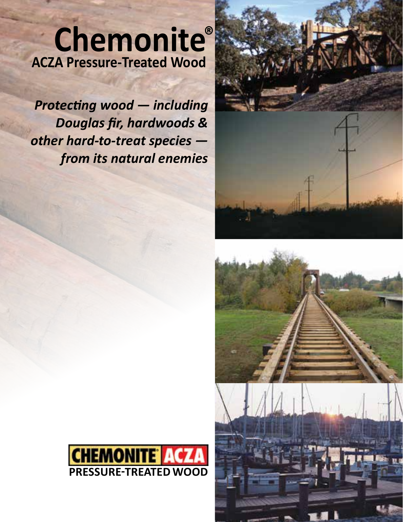# Chemonite® **ACZA Pressure-Treated Wood**

*Protecting wood — including Douglas fir, hardwoods & other hard-to-treat species from its natural enemies*





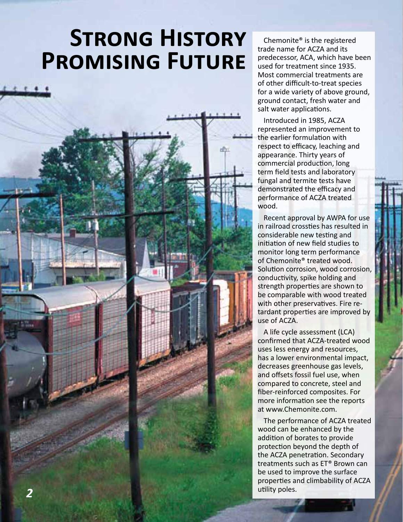# **Strong History Promising Future**



Chemonite® is the registered trade name for ACZA and its predecessor, ACA, which have been used for treatment since 1935. Most commercial treatments are of other difficult-to-treat species for a wide variety of above ground, ground contact, fresh water and salt water applications.

Introduced in 1985, ACZA represented an improvement to the earlier formulation with respect to efficacy, leaching and appearance. Thirty years of commercial production, long term field tests and laboratory fungal and termite tests have demonstrated the efficacy and performance of ACZA treated wood.

Recent approval by AWPA for use in railroad crossties has resulted in considerable new testing and initiation of new field studies to monitor long term performance of Chemonite® treated wood. Solution corrosion, wood corrosion, conductivity, spike holding and strength properties are shown to be comparable with wood treated with other preservatives. Fire retardant properties are improved by use of ACZA.

A life cycle assessment (LCA) confirmed that ACZA-treated wood uses less energy and resources, has a lower environmental impact, decreases greenhouse gas levels, and offsets fossil fuel use, when compared to concrete, steel and fiber-reinforced composites. For more information see the reports at www.Chemonite.com.

The performance of ACZA treated wood can be enhanced by the addition of borates to provide protection beyond the depth of the ACZA penetration. Secondary treatments such as ET® Brown can be used to improve the surface properties and climbability of ACZA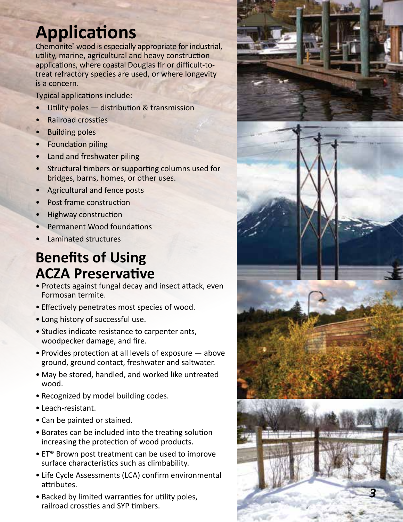# **Applications**

Chemonite ® wood is especially appropriate for industrial, utility, marine, agricultural and heavy construction applications, where coastal Douglas fir or difficult-totreat refractory species are used, or where longevity is a concern.

Typical applications include:

- Utility poles  $-$  distribution & transmission
- Railroad crossties
- **Building poles**
- Foundation piling
- Land and freshwater piling
- Structural timbers or supporting columns used for bridges, barns, homes, or other uses.
- Agricultural and fence posts
- Post frame construction
- Highway construction
- Permanent Wood foundations
- Laminated structures

# **Benefits of Using ACZA Preservative**

- Protects against fungal decay and insect attack, even Formosan termite.
- Effectively penetrates most species of wood.
- Long history of successful use.
- Studies indicate resistance to carpenter ants, woodpecker damage, and fire.
- Provides protection at all levels of exposure above ground, ground contact, freshwater and saltwater.
- May be stored, handled, and worked like untreated wood.
- Recognized by model building codes. Leach-resistant.
- 
- Can be painted or stained.
- Borates can be included into the treating solution increasing the protection of wood products.
- ET® Brown post treatment can be used to improve surface characteristics such as climbability.
- Life Cycle Assessments (LCA) confirm environmental attributes.
- Backed by limited warranties for utility poles, railroad crossties and SYP timbers.

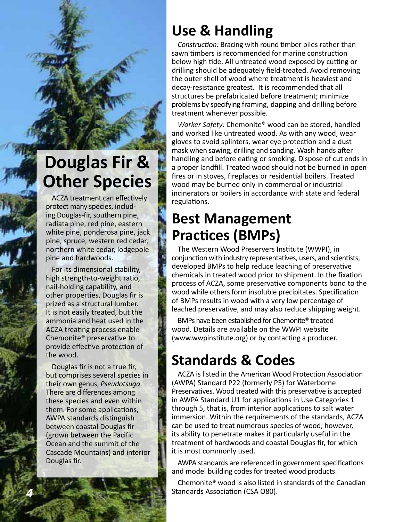# **Douglas Fir & Other Species**

ACZA treatment can effectively protect many species, including Douglas-fir, southern pine, radiata pine, red pine, eastern white pine, ponderosa pine, jack pine, spruce, western red cedar, northern white cedar, lodgepole pine and hardwoods.

For its dimensional stability, high strength-to-weight ratio, nail-holding capability, and other properties, Douglas fir is prized as a structural lumber. It is not easily treated, but the ammonia and heat used in the ACZA treating process enable Chemonite® preservative to provide effective protection of the wood.

Douglas fir is not a true fir, but comprises several species in their own genus, *Pseudotsuga*. There are differences among these species and even within them. For some applications, AWPA standards distinguish between coastal Douglas fir (grown between the Pacific Ocean and the summit of the Cascade Mountains) and interior Douglas fir.

# **Use & Handling**

*Construction:* Bracing with round timber piles rather than sawn timbers is recommended for marine construction below high tide. All untreated wood exposed by cutting or drilling should be adequately field-treated. Avoid removing the outer shell of wood where treatment is heaviest and decay-resistance greatest. It is recommended that all structures be prefabricated before treatment; minimize problems by specifying framing, dapping and drilling before treatment whenever possible.

*Worker Safety:* Chemonite® wood can be stored, handled and worked like untreated wood. As with any wood, wear gloves to avoid splinters, wear eye protection and a dust mask when sawing, drilling and sanding. Wash hands after handling and before eating or smoking. Dispose of cut ends in a proper landfill. Treated wood should not be burned in open fires or in stoves, fireplaces or residential boilers. Treated wood may be burned only in commercial or industrial incinerators or boilers in accordance with state and federal regulations.

## **Best Management Practices (BMPs)**

The Western Wood Preservers Institute (WWPI), in conjunction with industry representatives, users, and scientists, developed BMPs to help reduce leaching of preservative chemicals in treated wood prior to shipment. In the fixation process of ACZA, some preservative components bond to the wood while others form insoluble precipitates. Specification of BMPs results in wood with a very low percentage of leached preservative, and may also reduce shipping weight.

BMPs have been established for Chemonite® treated wood. Details are available on the WWPI website (www.wwpinstitute.org) or by contacting a producer.

# **Standards & Codes**

ACZA is listed in the American Wood Protection Association (AWPA) Standard P22 (formerly P5) for Waterborne Preservatives. Wood treated with this preservative is accepted in AWPA Standard U1 for applications in Use Categories 1 through 5, that is, from interior applications to salt water immersion. Within the requirements of the standards, ACZA can be used to treat numerous species of wood; however, its ability to penetrate makes it particularly useful in the treatment of hardwoods and coastal Douglas fir, for which it is most commonly used.

AWPA standards are referenced in government specifications and model building codes for treated wood products.

Chemonite® wood is also listed in standards of the Canadian Standards Association (CSA O80).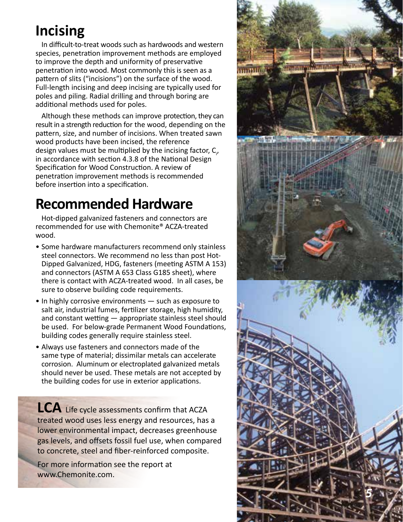# **Incising**

In difficult-to-treat woods such as hardwoods and western species, penetration improvement methods are employed to improve the depth and uniformity of preservative penetration into wood. Most commonly this is seen as a pattern of slits ("incisions") on the surface of the wood. Full-length incising and deep incising are typically used for poles and piling. Radial drilling and through boring are additional methods used for poles.

Although these methods can improve protection, they can result in a strength reduction for the wood, depending on the pattern, size, and number of incisions. When treated sawn wood products have been incised, the reference design values must be multiplied by the incising factor,  $C_{\nu}$ in accordance with section 4.3.8 of the National Design Specification for Wood Construction. A review of penetration improvement methods is recommended before insertion into a specification.

# **Recommended Hardware**

Hot-dipped galvanized fasteners and connectors are recommended for use with Chemonite® ACZA-treated wood.

- Some hardware manufacturers recommend only stainless steel connectors. We recommend no less than post Hot-Dipped Galvanized, HDG, fasteners (meeting ASTM A 153) and connectors (ASTM A 653 Class G185 sheet), where there is contact with ACZA-treated wood. In all cases, be sure to observe building code requirements.
- In highly corrosive environments such as exposure to salt air, industrial fumes, fertilizer storage, high humidity, and constant wetting — appropriate stainless steel should be used. For below-grade Permanent Wood Foundations, building codes generally require stainless steel.
- Always use fasteners and connectors made of the same type of material; dissimilar metals can accelerate corrosion. Aluminum or electroplated galvanized metals should never be used. These metals are not accepted by the building codes for use in exterior applications.

**LCA** Life cycle assessments confirm that ACZA treated wood uses less energy and resources, has a lower environmental impact, decreases greenhouse gas levels, and offsets fossil fuel use, when compared to concrete, steel and fiber-reinforced composite.

For more information see the report at [www.Chemonite.com](http://www.wolmanizedwoodhd.com/poles) .

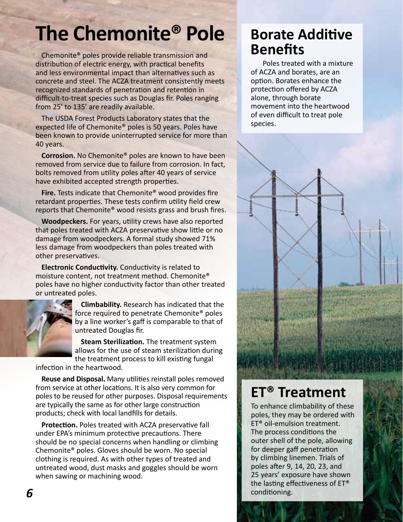# **The Chemonite® Pole**

Chemonite® poles provide reliable transmission and distribution of electric energy, with practical benefits and less environmental impact than alternatives such as concrete and steel. The ACZA treatment consistently meets recognized standards of penetration and retention in difficult-to-treat species such as Douglas fir. Poles ranging from 25' to 135' are readily available.

The USDA Forest Products Laboratory states that the expected life of Chemonite® poles is 50 years. Poles have been known to provide uninterrupted service for more than 40 years.

**Corrosion.** No Chemonite® poles are known to have been removed from service due to failure from corrosion. In fact, bolts removed from utility poles after 40 years of service have exhibited accepted strength properties.

**Fire.** Tests indicate that Chemonite® wood provides fire retardant properties. These tests confirm utility field crew reports that Chemonite® wood resists grass and brush fires.

**Woodpeckers.** For years, utility crews have also reported that poles treated with ACZA preservative show little or no damage from woodpeckers. A formal study showed 71% less damage from woodpeckers than poles treated with other preservatives.

**Electronic Conductivity.** Conductivity is related to moisture content, not treatment method. Chemonite® poles have no higher conductivity factor than other treated or untreated poles.



**Climbability.** Research has indicated that the force required to penetrate Chemonite® poles by a line worker's gaff is comparable to that of untreated Douglas fir.

**Steam Sterilization.** The treatment system allows for the use of steam sterilization during the treatment process to kill existing fungal

infection in the heartwood.

**Reuse and Disposal.** Many utilities reinstall poles removed from service at other locations. It is also very common for poles to be reused for other purposes. Disposal requirements are typically the same as for other large construction products; check with local landfills for details.

**Protection.** Poles treated with ACZA preservative fall under EPA's minimum protective precautions. There should be no special concerns when handling or climbing Chemonite® poles. Gloves should be worn. No special clothing is required. As with other types of treated and untreated wood, dust masks and goggles should be worn when sawing or machining wood.

## **Borate Additive Benefits**

Poles treated with a mixture of ACZA and borates, are an option. Borates enhance the protection offered by ACZA alone, through borate movement into the heartwood of even difficult to treat pole species.



To enhance climbability of these poles, they may be ordered with ET® oil-emulsion treatment. The process conditions the outer shell of the pole, allowing for deeper gaff penetration by climbing linemen. Trials of poles after 9, 14, 20, 23, and 25 years' exposure have shown the lasting effectiveness of ET® conditioning.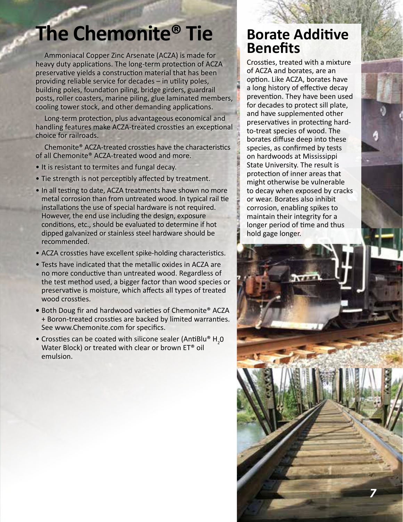# **The Chemonite® Tie**

Ammoniacal Copper Zinc Arsenate (ACZA) is made for heavy duty applications. The long-term protection of ACZA preservative yields a construction material that has been providing reliable service for decades – in utility poles, building poles, foundation piling, bridge girders, guardrail posts, roller coasters, marine piling, glue laminated members, cooling tower stock, and other demanding applications.

Long-term protection, plus advantageous economical and handling features make ACZA-treated crossties an exceptional choice for railroads.

Chemonite® ACZA-treated crossties have the characteristics of all Chemonite® ACZA-treated wood and more.

- It is resistant to termites and fungal decay.
- Tie strength is not perceptibly affected by treatment.
- In all testing to date, ACZA treatments have shown no more metal corrosion than from untreated wood. In typical rail tie installations the use of special hardware is not required. However, the end use including the design, exposure conditions, etc., should be evaluated to determine if hot dipped galvanized or stainless steel hardware should be recommended.
- ACZA crossties have excellent spike-holding characteristics.
- Tests have indicated that the metallic oxides in ACZA are no more conductive than untreated wood. Regardless of the test method used, a bigger factor than wood species or preservative is moisture, which affects all types of treated wood crossties.
- **•** Both Doug fir and hardwood varieties of Chemonite® ACZA + Boron-treated crossties are backed by limited warranties. See www.Chemonite.com for specifics.
- Crossties can be coated with silicone sealer (AntiBlu® H<sub>2</sub>0 Water Block) or treated with clear or brown ET® oil emulsion.

## **Borate Additive Benefits**

Crossties, treated with a mixture of ACZA and borates, are an option. Like ACZA, borates have a long history of effective decay prevention. They have been used for decades to protect sill plate, and have supplemented other preservatives in protecting hardto-treat species of wood. The borates diffuse deep into these species, as confirmed by tests on hardwoods at Mississippi State University. The result is protection of inner areas that might otherwise be vulnerable to decay when exposed by cracks or wear. Borates also inhibit corrosion, enabling spikes to maintain their integrity for a longer period of time and thus hold gage longer.

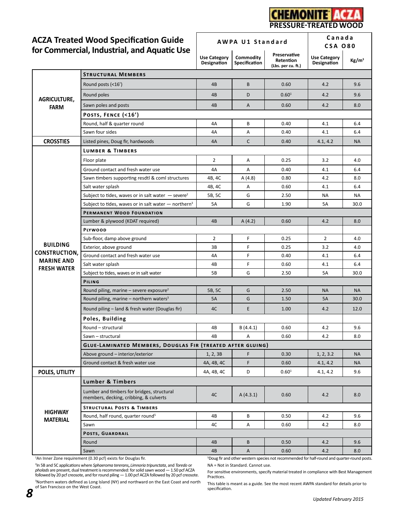

**AWPA U1 Standard Canada**

# **ACZA Treated Wood Specification Guide**

|                                                                                    |                                                                                      | AWFA UI JIAHUAIU                   |                                   |                                                                                                         | <b>CSA 080</b>                     |                   |
|------------------------------------------------------------------------------------|--------------------------------------------------------------------------------------|------------------------------------|-----------------------------------|---------------------------------------------------------------------------------------------------------|------------------------------------|-------------------|
|                                                                                    | for Commercial, Industrial, and Aquatic Use                                          | <b>Use Category</b><br>Designation | Commodity<br><b>Specification</b> | Preservative<br>Retention<br>(Lbs. per cu. ft.)                                                         | <b>Use Category</b><br>Designation | Kg/m <sup>3</sup> |
| <b>AGRICULTURE,</b><br><b>FARM</b><br><b>CROSSTIES</b>                             | <b>STRUCTURAL MEMBERS</b>                                                            |                                    |                                   |                                                                                                         |                                    |                   |
|                                                                                    | Round posts (<16')                                                                   | 4B                                 | B                                 | 0.60                                                                                                    | 4.2                                | 9.6               |
|                                                                                    | Round poles                                                                          | 4B                                 | D                                 | $0.60^{1}$                                                                                              | 4.2                                | 9.6               |
|                                                                                    | Sawn poles and posts                                                                 | 4B                                 | A                                 | 0.60                                                                                                    | 4.2                                | 8.0               |
|                                                                                    | POSTS, FENCE (<16')                                                                  |                                    |                                   |                                                                                                         |                                    |                   |
|                                                                                    | Round, half & quarter round                                                          | 4A                                 | В                                 | 0.40                                                                                                    | 4.1                                | 6.4               |
|                                                                                    | Sawn four sides                                                                      | 4A                                 | Α                                 | 0.40                                                                                                    | 4.1                                | 6.4               |
|                                                                                    | Listed pines, Doug fir, hardwoods                                                    | 4A                                 | $\mathsf{C}$                      | 0.40                                                                                                    | 4.1, 4.2                           | <b>NA</b>         |
| <b>BUILDING</b><br><b>CONSTRUCTION,</b><br><b>MARINE AND</b><br><b>FRESH WATER</b> | <b>LUMBER &amp; TIMBERS</b>                                                          |                                    |                                   |                                                                                                         |                                    |                   |
|                                                                                    | Floor plate                                                                          | $\overline{2}$                     | Α                                 | 0.25                                                                                                    | 3.2                                | 4.0               |
|                                                                                    | Ground contact and fresh water use                                                   | 4A                                 | А                                 | 0.40                                                                                                    | 4.1                                | 6.4               |
|                                                                                    | Sawn timbers supporting resdtl & coml structures                                     | 4B, 4C                             | A(4.8)                            | 0.80                                                                                                    | 4.2                                | 8.0               |
|                                                                                    | Salt water splash                                                                    | 4B, 4C                             | Α                                 | 0.60                                                                                                    | 4.1                                | 6.4               |
|                                                                                    | Subject to tides, waves or in salt water $-$ severe <sup>2</sup>                     | 5B, 5C                             | G                                 | 2.50                                                                                                    | NA                                 | NA                |
|                                                                                    | Subject to tides, waves or in salt water $-$ northern <sup>3</sup>                   | 5A                                 | G                                 | 1.90                                                                                                    | 5A                                 | 30.0              |
|                                                                                    | PERMANENT WOOD FOUNDATION                                                            |                                    |                                   |                                                                                                         |                                    |                   |
|                                                                                    | Lumber & plywood (KDAT required)                                                     | 4B                                 | A(4.2)                            | 0.60                                                                                                    | 4.2                                | 8.0               |
|                                                                                    | <b>PLYWOOD</b>                                                                       |                                    |                                   |                                                                                                         |                                    |                   |
|                                                                                    | Sub-floor, damp above ground                                                         | $\overline{2}$                     | F                                 | 0.25                                                                                                    | $\overline{2}$                     | 4.0               |
|                                                                                    | Exterior, above ground                                                               | 3B                                 | F                                 | 0.25                                                                                                    | 3.2                                | 4.0               |
|                                                                                    | Ground contact and fresh water use                                                   | 4А                                 | F                                 | 0.40                                                                                                    | 4.1                                | 6.4               |
|                                                                                    | Salt water splash                                                                    | 4B                                 | F                                 | 0.60                                                                                                    | 4.1                                | 6.4               |
|                                                                                    | Subject to tides, waves or in salt water                                             | 5B                                 | G                                 | 2.50                                                                                                    | 5A                                 | 30.0              |
|                                                                                    | PILING                                                                               |                                    |                                   |                                                                                                         |                                    |                   |
|                                                                                    | Round piling, marine – severe exposure <sup>2</sup>                                  | 5B, 5C                             | G                                 | 2.50                                                                                                    | <b>NA</b>                          | <b>NA</b>         |
|                                                                                    | Round piling, marine - northern waters <sup>3</sup>                                  | <b>5A</b>                          | G                                 | 1.50                                                                                                    | <b>5A</b>                          | 30.0              |
|                                                                                    | Round piling – land & fresh water (Douglas fir)                                      | 4C                                 | Е                                 | 1.00                                                                                                    | 4.2                                | 12.0              |
|                                                                                    | Poles, Building                                                                      |                                    |                                   |                                                                                                         |                                    |                   |
|                                                                                    | Round - structural                                                                   | 4B                                 | B(4.4.1)                          | 0.60                                                                                                    | 4.2                                | 9.6               |
|                                                                                    | Sawn - structural                                                                    | 4B                                 | Α                                 | 0.60                                                                                                    | 4.2                                | 8.0               |
|                                                                                    | <b>GLUE-LAMINATED MEMBERS, DOUGLAS FIR (TREATED AFTER GLUING)</b>                    |                                    |                                   |                                                                                                         |                                    |                   |
|                                                                                    | Above ground - interior/exterior                                                     | 1, 2, 3B                           | F                                 | 0.30                                                                                                    | 1, 2, 3.2                          | <b>NA</b>         |
|                                                                                    | Ground contact & fresh water use                                                     | 4A, 4B, 4C                         | $\mathsf F$                       | 0.60                                                                                                    | 4.1, 4.2                           | <b>NA</b>         |
| POLES, UTILITY                                                                     |                                                                                      | 4A, 4B, 4C                         | D                                 | 0.60 <sup>1</sup>                                                                                       | 4.1, 4.2                           | 9.6               |
| <b>HIGHWAY</b><br><b>MATERIAL</b>                                                  | <b>Lumber &amp; Timbers</b>                                                          |                                    |                                   |                                                                                                         |                                    |                   |
|                                                                                    | Lumber and timbers for bridges, structural<br>members, decking, cribbing, & culverts | 4C                                 | A(4.3.1)                          | 0.60                                                                                                    | 4.2                                | 8.0               |
|                                                                                    | <b>STRUCTURAL POSTS &amp; TIMBERS</b>                                                |                                    |                                   |                                                                                                         |                                    |                   |
|                                                                                    | Round, half round, quarter round <sup>5</sup>                                        | 4B                                 | В                                 | 0.50                                                                                                    | 4.2                                | 9.6               |
|                                                                                    | Sawn                                                                                 | 4C                                 | Α                                 | 0.60                                                                                                    | 4.2                                | 8.0               |
|                                                                                    | POSTS, GUARDRAIL                                                                     |                                    |                                   |                                                                                                         |                                    |                   |
|                                                                                    | Round                                                                                | 4B                                 | B                                 | 0.50                                                                                                    | 4.2                                | 9.6               |
|                                                                                    | Sawn                                                                                 | 4B                                 | A                                 | 0.60                                                                                                    | 4.2                                | 8.0               |
|                                                                                    | <sup>1</sup> An Inner Zone requirement (0.30 pcf) exists for Douglas fir.            |                                    |                                   | <sup>5</sup> Doug fir and other western species not recommended for half-round and quarter-round posts. |                                    |                   |

<sup>2</sup>In 5B and 5C applications where *Sphaeroma tererans, Limnoria tripunctata,* and *Toredo* or<br>*pholads* are present, dual treatment is recommended: for solid sawn wood — 1.50 pcf ACZA<br>followed by 20 pcf creosote, and for

<sup>3</sup>Northern waters defined as Long Island (NY) and northward on the East Coast and north of San Francisco on the West Coast.

NA = Not in Standard. Cannot use.

For sensitive environments, specify material treated in compliance with Best Management Practices.

This table is meant as a guide. See the most recent AWPA standard for details prior to specification.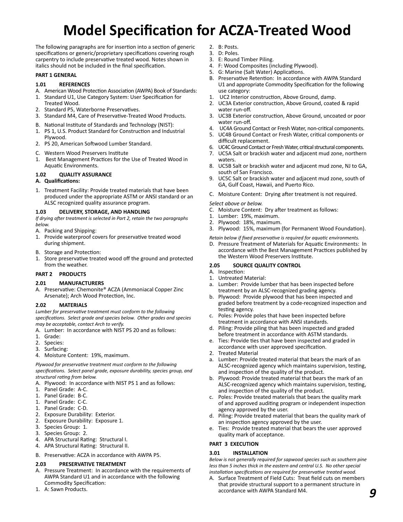# **Model Specification for ACZA-Treated Wood**

The following paragraphs are for insertion into a section of generic specifications or generic/proprietary specifications covering rough carpentry to include preservative treated wood. Notes shown in italics should not be included in the final specification.

#### **PART 1 GENERAL**

#### **1.01 REFERENCES**

- A. American Wood Protection Association (AWPA) Book of Standards:
- 1. Standard U1, Use Category System: User Specification for Treated Wood.
- 2. Standard P5, Waterborne Preservatives.
- 3. Standard M4, Care of Preservative-Treated Wood Products.
- B. National Institute of Standards and Technology (NIST):
- 1. PS 1, U.S. Product Standard for Construction and Industrial Plywood.
- 2. PS 20, American Softwood Lumber Standard.
- C. Western Wood Preservers Institute
- 1. Best Management Practices for the Use of Treated Wood in Aquatic Environments.

#### **1.02 QUALITY ASSURANCE**

#### **A. Qualifications:**

1. Treatment Facility: Provide treated materials that have been produced under the appropriate ASTM or ANSI standard or an ALSC recognized quality assurance program.

#### **1.03 DELIVERY, STORAGE, AND HANDLING**

*If drying after treatment is selected in Part 2, retain the two paragraphs below.*

- A. Packing and Shipping:
- 1. Provide waterproof covers for preservative treated wood during shipment.
- B. Storage and Protection:
- 1. Store preservative treated wood off the ground and protected from the weather.

#### **PART 2 PRODUCTS**

#### **2.01 MANUFACTURERS**

A. Preservative: Chemonite® ACZA (Ammoniacal Copper Zinc Arsenate); Arch Wood Protection, Inc.

#### **2.02 MATERIALS**

*Lumber for preservative treatment must conform to the following specifications. Select grade and species below. Other grades and species may be acceptable, contact Arch to verify.*

- A. Lumber: In accordance with NIST PS 20 and as follows:
- 1. Grade:
- 2. Species:
- 3. Surfacing:
- 4. Moisture Content: 19%, maximum.

*Plywood for preservative treatment must conform to the following specifications. Select panel grade, exposure durability, species group, and structural rating from below.*

- A. Plywood: In accordance with NIST PS 1 and as follows:
- 1. Panel Grade: A-C.
- 1. Panel Grade: B-C.
- 1. Panel Grade: C-C.
- 1. Panel Grade: C-D.
- 2. Exposure Durability: Exterior.
- 2. Exposure Durability: Exposure 1.
- 3. Species Group: 1.
- 3. Species Group: 2.
- 4. APA Structural Rating: Structural I.
- 4. APA Structural Rating: Structural II.
- B. Preservative: ACZA in accordance with AWPA P5.

#### **2.03 PRESERVATIVE TREATMENT**

- A. Pressure Treatment: In accordance with the requirements of AWPA Standard U1 and in accordance with the following Commodity Specification:
- 1. A: Sawn Products.
- 2. B: Posts.
- 3. D: Poles.
- 3. E: Round Timber Piling.
- 4. F: Wood Composites (including Plywood).
- 5. G: Marine (Salt Water) Applications.
- B. Preservative Retention: In accordance with AWPA Standard U1 and appropriate Commodity Specification for the following use category:
- 1. UC2 Interior construction, Above Ground, damp.
- 2. UC3A Exterior construction, Above Ground, coated & rapid water run-off.
- 3. UC3B Exterior construction, Above Ground, uncoated or poor water run-off.
- 4. UC4A Ground Contact or Fresh Water, non-critical components.
- 5. UC4B Ground Contact or Fresh Water, critical components or difficult replacement.
- 6. UC4C Ground Contact or Fresh Water, critical structural components.
- 7. UC5A Salt or brackish water and adjacent mud zone, northern waters.
- 8. UC5B Salt or brackish water and adjacent mud zone, NJ to GA, south of San Francisco.
- 9. UC5C Salt or brackish water and adjacent mud zone, south of GA, Gulf Coast, Hawaii, and Puerto Rico.
- C. Moisture Content: Drying after treatment is not required.

#### *Select above or below.*

- C. Moisture Content: Dry after treatment as follows:
- 1. Lumber: 19%, maximum.
- 2. Plywood: 18%, maximum.
- 3. Plywood: 15%, maximum (for Permanent Wood Foundation).

#### *Retain below if fixed preservative is required for aquatic environments.*

D. Pressure Treatment of Materials for Aquatic Environments: In accordance with the Best Management Practices published by the Western Wood Preservers Institute.

#### **2.05 SOURCE QUALITY CONTROL**

- A. Inspection:
- 1. Untreated Material:
- a. Lumber: Provide lumber that has been inspected before treatment by an ALSC-recognized grading agency.
- b. Plywood: Provide plywood that has been inspected and graded before treatment by a code-recognized inspection and testing agency.
- Poles: Provide poles that have been inspected before treatment in accordance with ANSI standards.
- d. Piling: Provide piling that has been inspected and graded before treatment in accordance with ASTM standards.
- e. Ties: Provide ties that have been inspected and graded in accordance with user approved specification.
- 2. Treated Material
- a. Lumber: Provide treated material that bears the mark of an ALSC-recognized agency which maintains supervision, testing, and inspection of the quality of the product.
- b. Plywood: Provide treated material that bears the mark of an ALSC-recognized agency which maintains supervision, testing, and inspection of the quality of the product.
- c. Poles: Provide treated materials that bears the quality mark of and approved auditing program or independent inspection agency approved by the user.
- d. Piling: Provide treated material that bears the quality mark of an inspection agency approved by the user.
- e. Ties: Provide treated material that bears the user approved quality mark of acceptance.

#### **PART 3 EXECUTION**

#### **3.01 INSTALLATION**

*Below is not generally required for sapwood species such as southern pine*  less than 5 inches thick in the eastern and central U.S. No other special *installation specifications are required for preservative treated wood.*

A. Surface Treatment of Field Cuts: Treat field cuts on members that provide structural support to a permanent structure in accordance with AWPA Standard M4.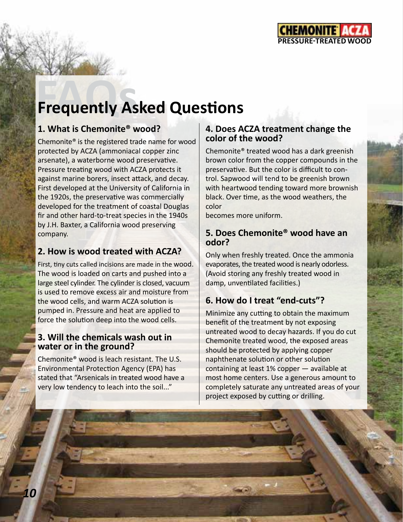

# **Frequently Asked Questions**

## **1. What is Chemonite® wood?**

Chemonite® is the registered trade name for wood protected by ACZA (ammoniacal copper zinc arsenate), a waterborne wood preservative. Pressure treating wood with ACZA protects it against marine borers, insect attack, and decay. First developed at the University of California in the 1920s, the preservative was commercially developed for the treatment of coastal Douglas fir and other hard-to-treat species in the 1940s by J.H. Baxter, a California wood preserving company.

## **2. How is wood treated with ACZA?**

First, tiny cuts called incisions are made in the wood. The wood is loaded on carts and pushed into a large steel cylinder. The cylinder is closed, vacuum is used to remove excess air and moisture from the wood cells, and warm ACZA solution is pumped in. Pressure and heat are applied to force the solution deep into the wood cells.

### **3. Will the chemicals wash out in water or in the ground?**

Chemonite® wood is leach resistant. The U.S. Environmental Protection Agency (EPA) has stated that "Arsenicals in treated wood have a very low tendency to leach into the soil..."

## **4. Does ACZA treatment change the color of the wood?**

Chemonite® treated wood has a dark greenish brown color from the copper compounds in the preservative. But the color is difficult to control. Sapwood will tend to be greenish brown with heartwood tending toward more brownish black. Over time, as the wood weathers, the color

becomes more uniform.

## **5. Does Chemonite® wood have an odor?**

Only when freshly treated. Once the ammonia evaporates, the treated wood is nearly odorless. (Avoid storing any freshly treated wood in damp, unventilated facilities.)

## **6. How do I treat "end-cuts"?**

Minimize any cutting to obtain the maximum benefit of the treatment by not exposing untreated wood to decay hazards. If you do cut Chemonite treated wood, the exposed areas should be protected by applying copper naphthenate solution or other solution containing at least 1% copper — available at most home centers. Use a generous amount to completely saturate any untreated areas of your project exposed by cutting or drilling.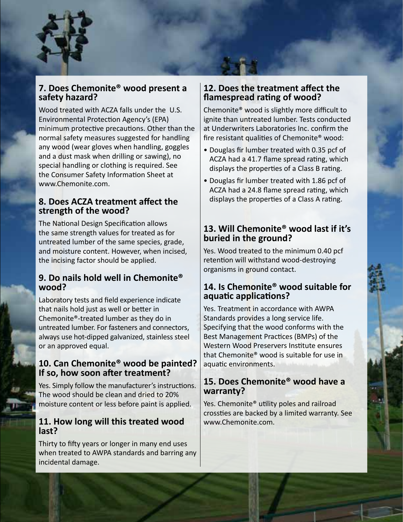

### **7. Does Chemonite® wood present a safety hazard?**

Wood treated with ACZA falls under the U.S. Environmental Protection Agency's (EPA) minimum protective precautions. Other than the normal safety measures suggested for handling any wood (wear gloves when handling, goggles and a dust mask when drilling or sawing), no special handling or clothing is required. See the Consumer Safety Information Sheet at www.Chemonite.com.

## **8. Does ACZA treatment affect the strength of the wood?**

The National Design Specification allows the same strength values for treated as for untreated lumber of the same species, grade, and moisture content. However, when incised, the incising factor should be applied.

## **9. Do nails hold well in Chemonite® wood?**

Laboratory tests and field experience indicate that nails hold just as well or better in Chemonite®-treated lumber as they do in untreated lumber. For fasteners and connectors, always use hot-dipped galvanized, stainless steel or an approved equal.

## **10. Can Chemonite® wood be painted? If so, how soon after treatment?**

Yes. Simply follow the manufacturer's instructions. The wood should be clean and dried to 20% moisture content or less before paint is applied.

### **11. How long will this treated wood last?**

Thirty to fifty years or longer in many end uses when treated to AWPA standards and barring any incidental damage.

### **12. Does the treatment affect the flamespread rating of wood?**

Chemonite® wood is slightly more difficult to ignite than untreated lumber. Tests conducted at Underwriters Laboratories Inc. confirm the fire resistant qualities of Chemonite® wood:

- Douglas fir lumber treated with 0.35 pcf of ACZA had a 41.7 flame spread rating, which displays the properties of a Class B rating.
- Douglas fir lumber treated with 1.86 pcf of ACZA had a 24.8 flame spread rating, which displays the properties of a Class A rating.

## **13. Will Chemonite® wood last if it's buried in the ground?**

Yes. Wood treated to the minimum 0.40 pcf retention will withstand wood-destroying organisms in ground contact.

### **14. Is Chemonite® wood suitable for aquatic applications?**

Yes. Treatment in accordance with AWPA Standards provides a long service life. Specifying that the wood conforms with the Best Management Practices (BMPs) of the Western Wood Preservers Institute ensures that Chemonite® wood is suitable for use in aquatic environments.

### **15. Does Chemonite® wood have a warranty?**

Yes. Chemonite<sup>®</sup> utility poles and railroad crossties are backed by a limited warranty. See www.Chemonite.com.